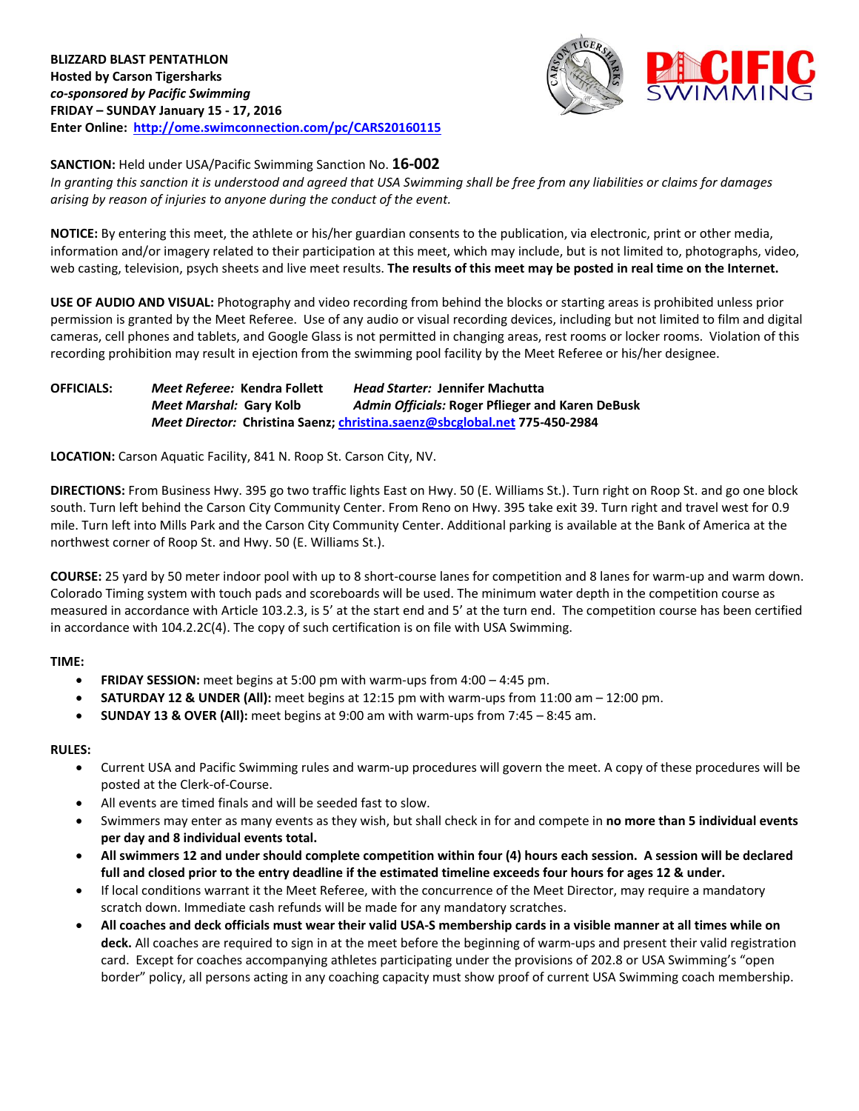

**SANCTION:** Held under USA/Pacific Swimming Sanction No. **16-002**

*In granting this sanction it is understood and agreed that USA Swimming shall be free from any liabilities or claims for damages arising by reason of injuries to anyone during the conduct of the event.*

**NOTICE:** By entering this meet, the athlete or his/her guardian consents to the publication, via electronic, print or other media, information and/or imagery related to their participation at this meet, which may include, but is not limited to, photographs, video, web casting, television, psych sheets and live meet results. **The results of this meet may be posted in real time on the Internet.**

**USE OF AUDIO AND VISUAL:** Photography and video recording from behind the blocks or starting areas is prohibited unless prior permission is granted by the Meet Referee. Use of any audio or visual recording devices, including but not limited to film and digital cameras, cell phones and tablets, and Google Glass is not permitted in changing areas, rest rooms or locker rooms. Violation of this recording prohibition may result in ejection from the swimming pool facility by the Meet Referee or his/her designee.

**OFFICIALS:** *Meet Referee:* **Kendra Follett** *Head Starter:* **Jennifer Machutta** *Meet Marshal:* **Gary Kolb** *Admin Officials:* **Roger Pflieger and Karen DeBusk** *Meet Director:* **Christina Saenz[; christina.saenz@sbcglobal.net](mailto:christina.saenz@sbcglobal.net) 775-450-2984**

**LOCATION:** Carson Aquatic Facility, 841 N. Roop St. Carson City, NV.

**DIRECTIONS:** From Business Hwy. 395 go two traffic lights East on Hwy. 50 (E. Williams St.). Turn right on Roop St. and go one block south. Turn left behind the Carson City Community Center. From Reno on Hwy. 395 take exit 39. Turn right and travel west for 0.9 mile. Turn left into Mills Park and the Carson City Community Center. Additional parking is available at the Bank of America at the northwest corner of Roop St. and Hwy. 50 (E. Williams St.).

**COURSE:** 25 yard by 50 meter indoor pool with up to 8 short-course lanes for competition and 8 lanes for warm-up and warm down. Colorado Timing system with touch pads and scoreboards will be used. The minimum water depth in the competition course as measured in accordance with Article 103.2.3, is 5' at the start end and 5' at the turn end. The competition course has been certified in accordance with 104.2.2C(4). The copy of such certification is on file with USA Swimming.

## **TIME:**

- **FRIDAY SESSION:** meet begins at 5:00 pm with warm-ups from 4:00 4:45 pm.
- **SATURDAY 12 & UNDER (All):** meet begins at 12:15 pm with warm-ups from 11:00 am 12:00 pm.
- **SUNDAY 13 & OVER (All):** meet begins at 9:00 am with warm-ups from 7:45 8:45 am.

## **RULES:**

- Current USA and Pacific Swimming rules and warm-up procedures will govern the meet. A copy of these procedures will be posted at the Clerk-of-Course.
- All events are timed finals and will be seeded fast to slow.
- Swimmers may enter as many events as they wish, but shall check in for and compete in **no more than 5 individual events per day and 8 individual events total.**
- **All swimmers 12 and under should complete competition within four (4) hours each session. A session will be declared full and closed prior to the entry deadline if the estimated timeline exceeds four hours for ages 12 & under.**
- If local conditions warrant it the Meet Referee, with the concurrence of the Meet Director, may require a mandatory scratch down. Immediate cash refunds will be made for any mandatory scratches.
- **All coaches and deck officials must wear their valid USA-S membership cards in a visible manner at all times while on deck.** All coaches are required to sign in at the meet before the beginning of warm-ups and present their valid registration card. Except for coaches accompanying athletes participating under the provisions of 202.8 or USA Swimming's "open border" policy, all persons acting in any coaching capacity must show proof of current USA Swimming coach membership.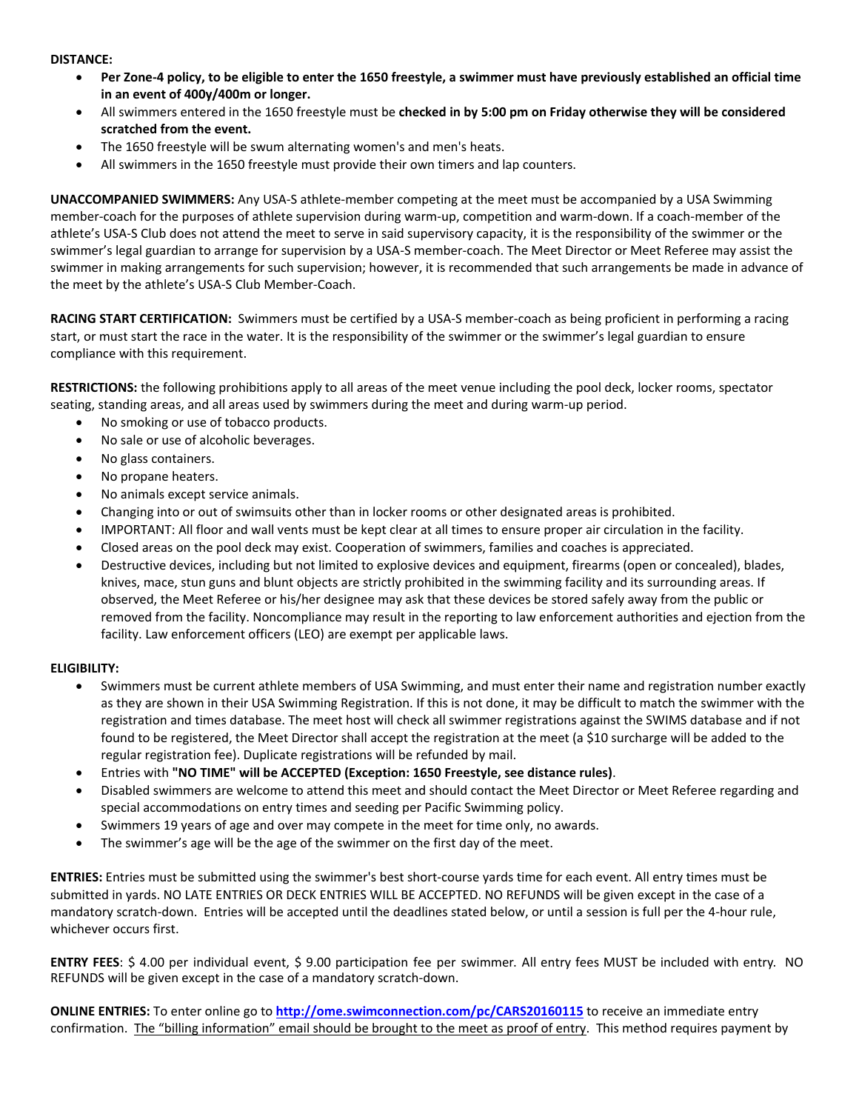#### **DISTANCE:**

- **Per Zone-4 policy, to be eligible to enter the 1650 freestyle, a swimmer must have previously established an official time in an event of 400y/400m or longer.**
- All swimmers entered in the 1650 freestyle must be **checked in by 5:00 pm on Friday otherwise they will be considered scratched from the event.**
- The 1650 freestyle will be swum alternating women's and men's heats.
- All swimmers in the 1650 freestyle must provide their own timers and lap counters.

**UNACCOMPANIED SWIMMERS:** Any USA-S athlete-member competing at the meet must be accompanied by a USA Swimming member-coach for the purposes of athlete supervision during warm-up, competition and warm-down. If a coach-member of the athlete's USA-S Club does not attend the meet to serve in said supervisory capacity, it is the responsibility of the swimmer or the swimmer's legal guardian to arrange for supervision by a USA-S member-coach. The Meet Director or Meet Referee may assist the swimmer in making arrangements for such supervision; however, it is recommended that such arrangements be made in advance of the meet by the athlete's USA-S Club Member-Coach.

**RACING START CERTIFICATION:** Swimmers must be certified by a USA-S member-coach as being proficient in performing a racing start, or must start the race in the water. It is the responsibility of the swimmer or the swimmer's legal guardian to ensure compliance with this requirement.

**RESTRICTIONS:** the following prohibitions apply to all areas of the meet venue including the pool deck, locker rooms, spectator seating, standing areas, and all areas used by swimmers during the meet and during warm-up period.

- No smoking or use of tobacco products.
- No sale or use of alcoholic beverages.
- No glass containers.
- No propane heaters.
- No animals except service animals.
- Changing into or out of swimsuits other than in locker rooms or other designated areas is prohibited.
- IMPORTANT: All floor and wall vents must be kept clear at all times to ensure proper air circulation in the facility.
- Closed areas on the pool deck may exist. Cooperation of swimmers, families and coaches is appreciated.
- Destructive devices, including but not limited to explosive devices and equipment, firearms (open or concealed), blades, knives, mace, stun guns and blunt objects are strictly prohibited in the swimming facility and its surrounding areas. If observed, the Meet Referee or his/her designee may ask that these devices be stored safely away from the public or removed from the facility. Noncompliance may result in the reporting to law enforcement authorities and ejection from the facility. Law enforcement officers (LEO) are exempt per applicable laws.

## **ELIGIBILITY:**

- Swimmers must be current athlete members of USA Swimming, and must enter their name and registration number exactly as they are shown in their USA Swimming Registration. If this is not done, it may be difficult to match the swimmer with the registration and times database. The meet host will check all swimmer registrations against the SWIMS database and if not found to be registered, the Meet Director shall accept the registration at the meet (a \$10 surcharge will be added to the regular registration fee). Duplicate registrations will be refunded by mail.
- Entries with **"NO TIME" will be ACCEPTED (Exception: 1650 Freestyle, see distance rules)**.
- Disabled swimmers are welcome to attend this meet and should contact the Meet Director or Meet Referee regarding and special accommodations on entry times and seeding per Pacific Swimming policy.
- Swimmers 19 years of age and over may compete in the meet for time only, no awards.
- The swimmer's age will be the age of the swimmer on the first day of the meet.

**ENTRIES:** Entries must be submitted using the swimmer's best short-course yards time for each event. All entry times must be submitted in yards. NO LATE ENTRIES OR DECK ENTRIES WILL BE ACCEPTED. NO REFUNDS will be given except in the case of a mandatory scratch-down. Entries will be accepted until the deadlines stated below, or until a session is full per the 4-hour rule, whichever occurs first.

**ENTRY FEES**: \$ 4.00 per individual event, \$ 9.00 participation fee per swimmer. All entry fees MUST be included with entry. NO REFUNDS will be given except in the case of a mandatory scratch-down.

**ONLINE ENTRIES:** To enter online go to **<http://ome.swimconnection.com/pc/CARS20160115>** to receive an immediate entry confirmation. The "billing information" email should be brought to the meet as proof of entry. This method requires payment by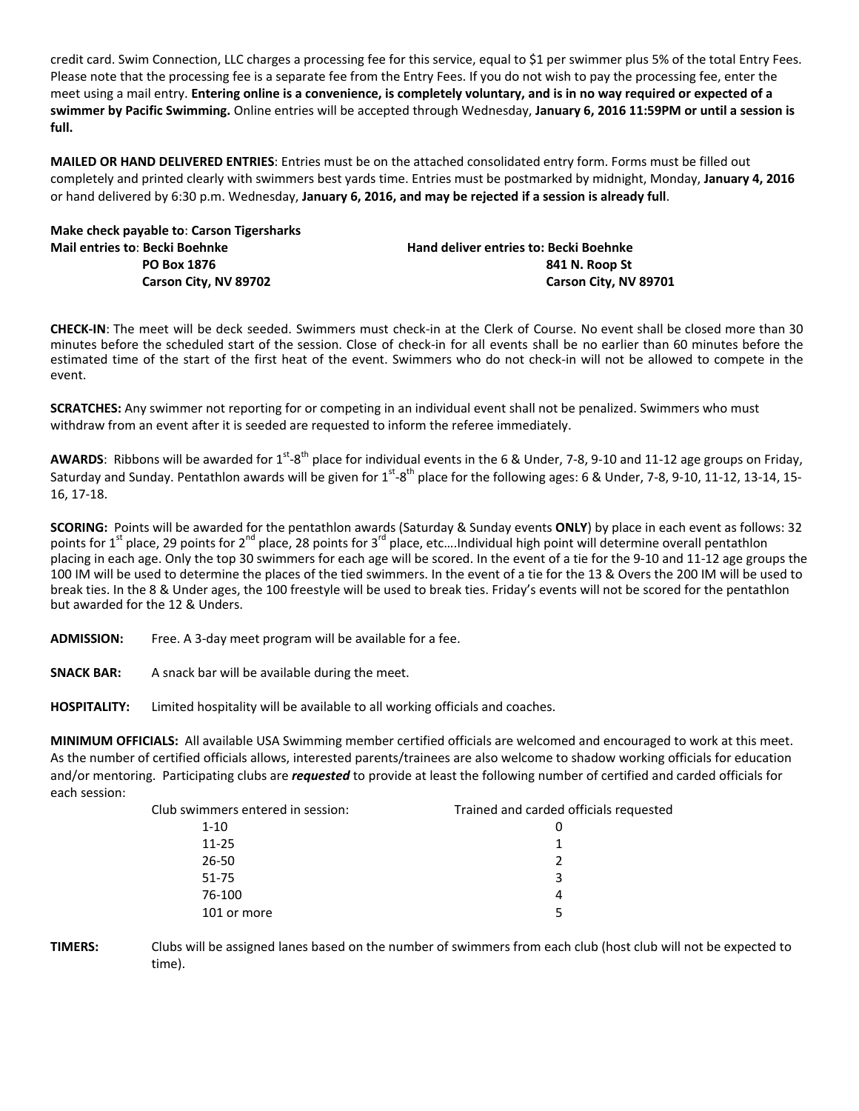credit card. Swim Connection, LLC charges a processing fee for this service, equal to \$1 per swimmer plus 5% of the total Entry Fees. Please note that the processing fee is a separate fee from the Entry Fees. If you do not wish to pay the processing fee, enter the meet using a mail entry. **Entering online is a convenience, is completely voluntary, and is in no way required or expected of a swimmer by Pacific Swimming.** Online entries will be accepted through Wednesday, **January 6, 2016 11:59PM or until a session is full.**

**MAILED OR HAND DELIVERED ENTRIES**: Entries must be on the attached consolidated entry form. Forms must be filled out completely and printed clearly with swimmers best yards time. Entries must be postmarked by midnight, Monday, **January 4, 2016** or hand delivered by 6:30 p.m. Wednesday, **January 6, 2016, and may be rejected if a session is already full**.

**Make check payable to**: **Carson Tigersharks Mail entries to**: **Becki Boehnke Hand deliver entries to: Becki Boehnke**

**PO Box 1876** 841 N. Roop St  **Carson City, NV 89702 Carson City, NV 89701**

**CHECK-IN**: The meet will be deck seeded. Swimmers must check-in at the Clerk of Course. No event shall be closed more than 30 minutes before the scheduled start of the session. Close of check-in for all events shall be no earlier than 60 minutes before the estimated time of the start of the first heat of the event. Swimmers who do not check-in will not be allowed to compete in the event.

**SCRATCHES:** Any swimmer not reporting for or competing in an individual event shall not be penalized. Swimmers who must withdraw from an event after it is seeded are requested to inform the referee immediately.

AWARDS: Ribbons will be awarded for 1<sup>st</sup>-8<sup>th</sup> place for individual events in the 6 & Under, 7-8, 9-10 and 11-12 age groups on Friday, Saturday and Sunday. Pentathlon awards will be given for  $1^{st}$ -8<sup>th</sup> place for the following ages: 6 & Under, 7-8, 9-10, 11-12, 13-14, 15-16, 17-18.

**SCORING:** Points will be awarded for the pentathlon awards (Saturday & Sunday events **ONLY**) by place in each event as follows: 32 points for 1<sup>st</sup> place, 29 points for 2<sup>nd</sup> place, 28 points for 3<sup>rd</sup> place, etc....Individual high point will determine overall pentathlon placing in each age. Only the top 30 swimmers for each age will be scored. In the event of a tie for the 9-10 and 11-12 age groups the 100 IM will be used to determine the places of the tied swimmers. In the event of a tie for the 13 & Overs the 200 IM will be used to break ties. In the 8 & Under ages, the 100 freestyle will be used to break ties. Friday's events will not be scored for the pentathlon but awarded for the 12 & Unders.

**ADMISSION:** Free. A 3-day meet program will be available for a fee.

**SNACK BAR:** A snack bar will be available during the meet.

**HOSPITALITY:** Limited hospitality will be available to all working officials and coaches.

**MINIMUM OFFICIALS:** All available USA Swimming member certified officials are welcomed and encouraged to work at this meet. As the number of certified officials allows, interested parents/trainees are also welcome to shadow working officials for education and/or mentoring. Participating clubs are *requested* to provide at least the following number of certified and carded officials for each session:

| Club swimmers entered in session: | Trained and carded officials requested |
|-----------------------------------|----------------------------------------|
| $1 - 10$                          |                                        |
| $11 - 25$                         | 1                                      |
| 26-50                             | າ                                      |
| $51 - 75$                         | 3                                      |
| 76-100                            | 4                                      |
| 101 or more                       |                                        |

**TIMERS:** Clubs will be assigned lanes based on the number of swimmers from each club (host club will not be expected to time).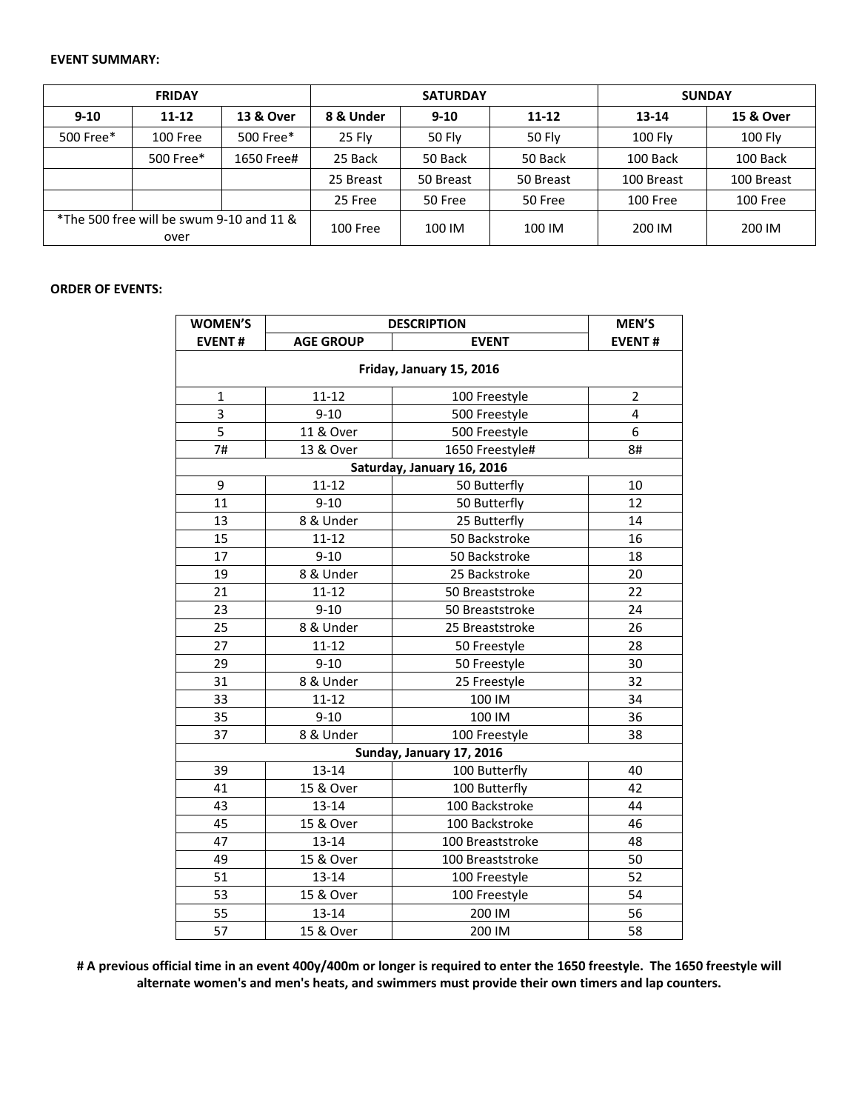#### **EVENT SUMMARY:**

| <b>FRIDAY</b>                                    |           |                      |           | <b>SATURDAY</b> | <b>SUNDAY</b> |            |            |
|--------------------------------------------------|-----------|----------------------|-----------|-----------------|---------------|------------|------------|
| $9 - 10$                                         | $11 - 12$ | <b>13 &amp; Over</b> | 8 & Under | $9 - 10$        | $11 - 12$     | 13-14      | 15 & Over  |
| 500 Free*                                        | 100 Free  | 500 Free*            | 25 Fly    | 50 Fly          | 50 Fly        | 100 Fly    | $100$ Fly  |
|                                                  | 500 Free* | 1650 Free#           | 25 Back   | 50 Back         | 50 Back       | 100 Back   | 100 Back   |
|                                                  |           |                      | 25 Breast | 50 Breast       | 50 Breast     | 100 Breast | 100 Breast |
|                                                  |           |                      | 25 Free   | 50 Free         | 50 Free       | 100 Free   | 100 Free   |
| *The 500 free will be swum 9-10 and 11 &<br>over |           | 100 Free             | 100 IM    | 100 IM          | 200 IM        | 200 IM     |            |

# **ORDER OF EVENTS:**

| <b>WOMEN'S</b>             | <b>DESCRIPTION</b> | MEN'S                    |                |  |  |  |  |  |  |
|----------------------------|--------------------|--------------------------|----------------|--|--|--|--|--|--|
| <b>EVENT#</b>              | <b>AGE GROUP</b>   | <b>EVENT</b>             | <b>EVENT#</b>  |  |  |  |  |  |  |
| Friday, January 15, 2016   |                    |                          |                |  |  |  |  |  |  |
| $\mathbf{1}$               | $11 - 12$          | 100 Freestyle            | $\overline{2}$ |  |  |  |  |  |  |
| 3                          | $9 - 10$           | 500 Freestyle            | $\overline{4}$ |  |  |  |  |  |  |
| $\overline{5}$             | 11 & Over          | 500 Freestyle            | 6              |  |  |  |  |  |  |
| 7#                         | 13 & Over          | 1650 Freestyle#          | 8#             |  |  |  |  |  |  |
| Saturday, January 16, 2016 |                    |                          |                |  |  |  |  |  |  |
| 9                          | $11 - 12$          | 50 Butterfly             | 10             |  |  |  |  |  |  |
| 11                         | $9 - 10$           | 50 Butterfly             | 12             |  |  |  |  |  |  |
| 13                         | 8 & Under          | 25 Butterfly             | 14             |  |  |  |  |  |  |
| 15                         | $11 - 12$          | 50 Backstroke            | 16             |  |  |  |  |  |  |
| 17                         | $9 - 10$           | 50 Backstroke            | 18             |  |  |  |  |  |  |
| 19                         | 8 & Under          | 25 Backstroke            | 20             |  |  |  |  |  |  |
| 21                         | $11 - 12$          | 50 Breaststroke          | 22             |  |  |  |  |  |  |
| 23                         | $9 - 10$           | 50 Breaststroke          | 24             |  |  |  |  |  |  |
| 25                         | 8 & Under          | 25 Breaststroke          | 26             |  |  |  |  |  |  |
| 27                         | $11 - 12$          | 50 Freestyle             | 28             |  |  |  |  |  |  |
| 29                         | $9 - 10$           | 50 Freestyle             | 30             |  |  |  |  |  |  |
| 31                         | 8 & Under          | 25 Freestyle             | 32             |  |  |  |  |  |  |
| 33                         | $11 - 12$          | 100 IM                   | 34             |  |  |  |  |  |  |
| 35                         | $9 - 10$           | 100 IM                   | 36             |  |  |  |  |  |  |
| 37                         | 8 & Under          | 100 Freestyle            | 38             |  |  |  |  |  |  |
|                            |                    | Sunday, January 17, 2016 |                |  |  |  |  |  |  |
| 39                         | 13-14              | 100 Butterfly            | 40             |  |  |  |  |  |  |
| 41                         | 15 & Over          | 100 Butterfly            | 42             |  |  |  |  |  |  |
| 43                         | 13-14              | 100 Backstroke           | 44             |  |  |  |  |  |  |
| 45                         | 15 & Over          | 100 Backstroke           | 46             |  |  |  |  |  |  |
| 47                         | 13-14              | 100 Breaststroke         | 48             |  |  |  |  |  |  |
| 49                         | 15 & Over          | 100 Breaststroke         | 50             |  |  |  |  |  |  |
| 51                         | $13 - 14$          | 100 Freestyle            | 52             |  |  |  |  |  |  |
| 53                         | 15 & Over          | 100 Freestyle            | 54             |  |  |  |  |  |  |
| 55                         | $13 - 14$          | 200 IM<br>56             |                |  |  |  |  |  |  |
| 57                         | 15 & Over          | 200 IM                   | 58             |  |  |  |  |  |  |

**# A previous official time in an event 400y/400m or longer is required to enter the 1650 freestyle. The 1650 freestyle will alternate women's and men's heats, and swimmers must provide their own timers and lap counters.**